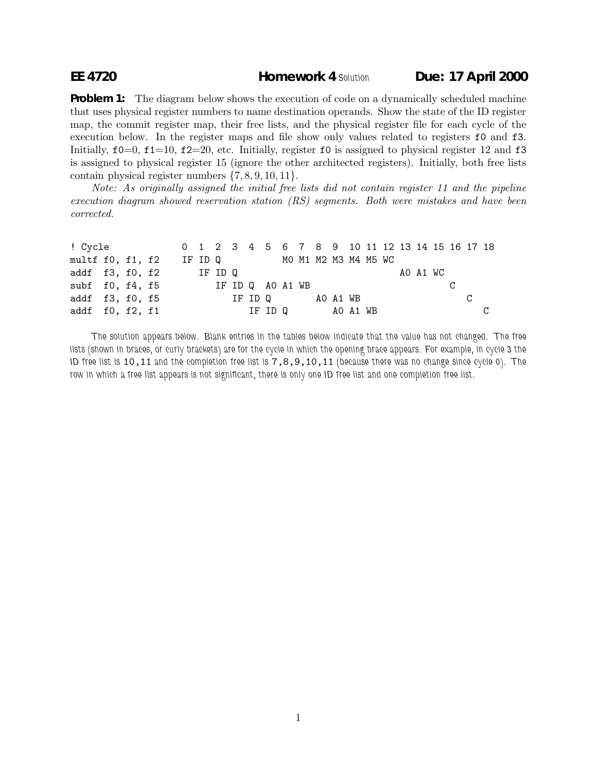## **EE 4720 Homework 4** *Solution* **Due: 17 April 2000**

**Problem 1:** The diagram below shows the execution of code on a dynamically scheduled machine that uses physical register numbers to name destination operands. Show the state of the ID register map, the commit register map, their free lists, and the physical register file for each cycle of the execution below. In the register maps and file show only values related to registers f0 and f3. Initially,  $f0=0$ ,  $f1=10$ ,  $f2=20$ , etc. Initially, register  $f0$  is assigned to physical register 12 and  $f3$ is assigned to physical register 15 (ignore the other architected registers). Initially, both free lists contain physical register numbers {7, 8, 9, 10, 11}.

Note: As originally assigned the initial free lists did not contain register 11 and the pipeline execution diagram showed reservation station (RS) segments. Both were mistakes and have been corrected.

| ! Cycle 0 1 2 3 4 5 6 7 8 9 10 11 12 13 14 15 16 17 18 |  |  |  |                             |  |  |  |                  |  |  |  |          |    |  |
|--------------------------------------------------------|--|--|--|-----------------------------|--|--|--|------------------|--|--|--|----------|----|--|
| multf f0, f1, f2                                       |  |  |  | IF ID Q MOM1 M2 M3 M4 M5 WC |  |  |  |                  |  |  |  |          |    |  |
| addf $f3, f0, f2$ IF ID Q                              |  |  |  |                             |  |  |  |                  |  |  |  | AO A1 WC |    |  |
| subf f0, f4, f5 IF ID Q A0 A1 WB                       |  |  |  |                             |  |  |  |                  |  |  |  |          |    |  |
| addf f3, f0, f5                                        |  |  |  |                             |  |  |  | IF ID Q AO A1 WB |  |  |  |          | C. |  |
| addf $f0$ , $f2$ , $f1$                                |  |  |  |                             |  |  |  | IF IDQ AO A1 WB  |  |  |  |          |    |  |

*The solution appears below. Blank entries in the tables below indicate that the value has not changed. The free lists (shown in braces, or curly brackets) are for the cycle in which the opening brace appears. For example, in cycle 3 the ID free list is* 10,11 *and the completion free list is* 7,8,9,10,11 *(because there was no change since cycle 0). The row in which a free list appears is not significant, there is only one ID free list and one completion free list.*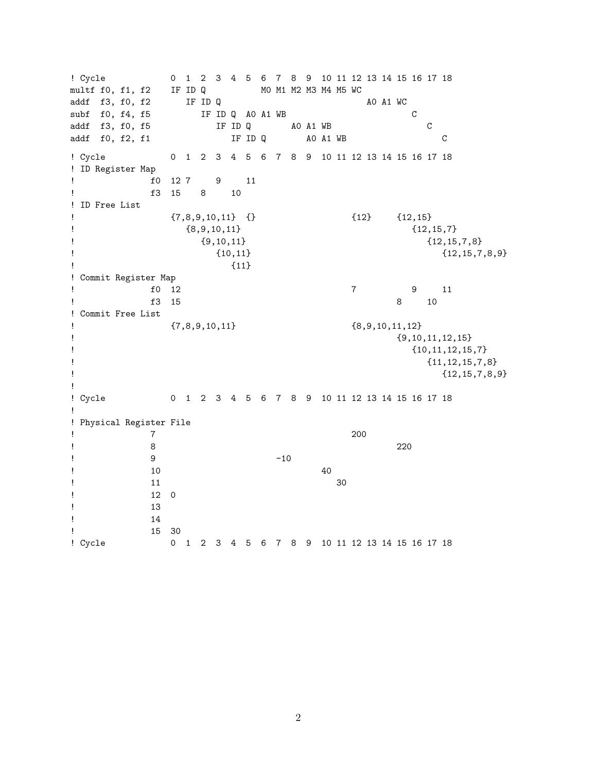! Cycle 0 1 2 3 4 5 6 7 8 9 10 11 12 13 14 15 16 17 18 multf f0, f1, f2 IF ID Q M0 M1 M2 M3 M4 M5 WC addf f3, f0, f2 IF ID Q <br>subf f0, f4, f5 IF ID Q A0 A1 WB<br>addf f3, f0, f5 IF ID Q A0 A1 WB  $IF$  ID Q AO A1 WB  $C$ IF ID Q AO A1 WB C addf f0, f2, f1 **IF ID Q** A0 A1 WB C ! Cycle 0 1 2 3 4 5 6 7 8 9 10 11 12 13 14 15 16 17 18 ! ID Register Map ! f0 12 7 9 11 ! f3 15 8 10 ! ID Free List  ${7,8,9,10,11}$   $\{\}$   ${12}$   ${12,15}$  ${8,9,10,11}$   ${12,15,7}$  ${9,10,11}$   ${12,15,7,8}$  ${10,11}$   ${12,15,7,8,9}$  $\left\{\right.$   $\left\{\right.$   $\left\{\right.$   $\left\{\right.$   $\left\{\right.$   $\left\{\right.$   $\left\{\right.$   $\left\{\right.$   $\left\{\right.$   $\left\{\right.$   $\left\{\right. \left\{\right. \left\{\right. \left\{\right. \left\{\right. \left\{\right. \left\{\right. \left\{\right. \left\{\right. \left\{\right. \left\{\right. \left\{\right. \left\{\right. \left\{\right. \left\{\right. \left\{\right. \left\{\right. \left\{\right. \left\{\right. \left\{\right. \left\{\right. \left\{\$ ! Commit Register Map ! f0 12 7 9 11 ! f3 15 8 10 ! Commit Free List  $\{7,8,9,10,11\}$   $\{8,9,10,11,12\}$  ${9,10,11,12,15}$  ${10, 11, 12, 15, 7}$  ${11,12,15,7,8}$  ${12, 15, 7, 8, 9}$ ! ! Cycle 0 1 2 3 4 5 6 7 8 9 10 11 12 13 14 15 16 17 18 ! ! Physical Register File ! 7 200 ! 8 220  $9$  -10  $\frac{10}{10}$  10 ! 11 30 ! 12 0 ! 13 ! 14 ! 15 30 ! Cycle 0 1 2 3 4 5 6 7 8 9 10 11 12 13 14 15 16 17 18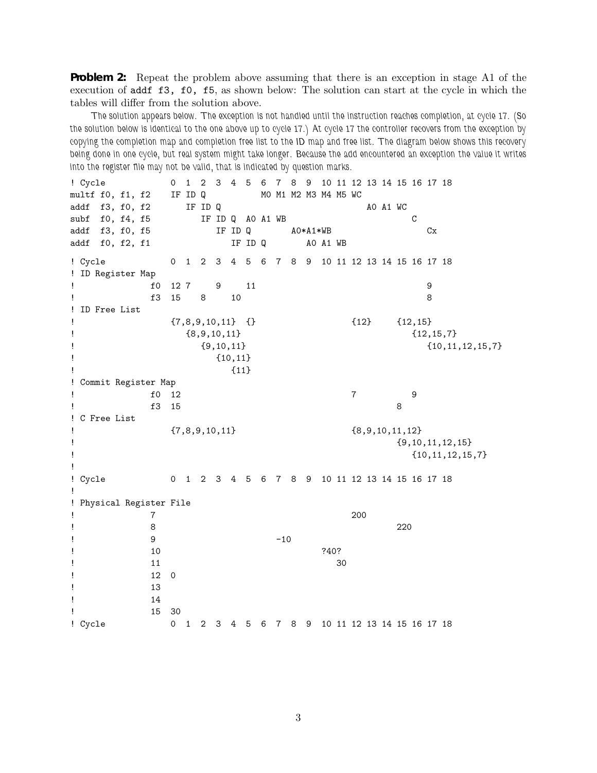**Problem 2:** Repeat the problem above assuming that there is an exception in stage A1 of the execution of addf f3, f0, f5, as shown below: The solution can start at the cycle in which the tables will differ from the solution above.

*The solution appears below. The exception is not handled until the instruction reaches completion, at cycle 17. (So the solution below is identical to the one above up to cycle 17.) At cycle 17 the controller recovers from the exception by copying the completion map and completion free list to the ID map and free list. The diagram below shows this recovery being done in one cycle, but real system might take longer. Because the add encountered an exception the value it writes into the register file may not be valid, that is indicated by question marks.*

! Cycle 0 1 2 3 4 5 6 7 8 9 10 11 12 13 14 15 16 17 18 multf f0, f1, f2 IF ID Q M0 M1 M2 M3 M4 M5 WC addf  $f3, f0, f2$  IF ID Q  $A0 A1 WC$ subf f0, f4, f5 IF ID Q A0 A1 WB C addf f3, f0, f5 IF ID Q  $A0*A1*WB$  Cx addf f0, f2, f1 IF ID Q A0 A1 WB ! Cycle 0 1 2 3 4 5 6 7 8 9 10 11 12 13 14 15 16 17 18 ! ID Register Map ! f0 12 7 9 11 9 ! f3 15 8 10 8 ! ID Free List  $\{7,8,9,10,11\}$   $\{\}$   $\{12\}$   $\{12,15\}$  $\{8,9,10,11\}$   $\{12,15,7\}$  ${9,10,11}$   ${10,11,12,15,7}$  ${10,11}$  $!$   $\{11\}$ ! Commit Register Map ! f0 12 7 9 ! f3 15 8 ! C Free List  $\{7,8,9,10,11\}$   $\{8,9,10,11,12\}$  ${9,10,11,12,15}$  $\{10, 11, 12, 15, 7\}$ ! ! Cycle 0 1 2 3 4 5 6 7 8 9 10 11 12 13 14 15 16 17 18 ! ! Physical Register File ! 7 200 ! 8 220  $9$  -10  $!$  240? ! 11 30 ! 12 0 ! 13 ! 14 ! 15 30 ! Cycle 0 1 2 3 4 5 6 7 8 9 10 11 12 13 14 15 16 17 18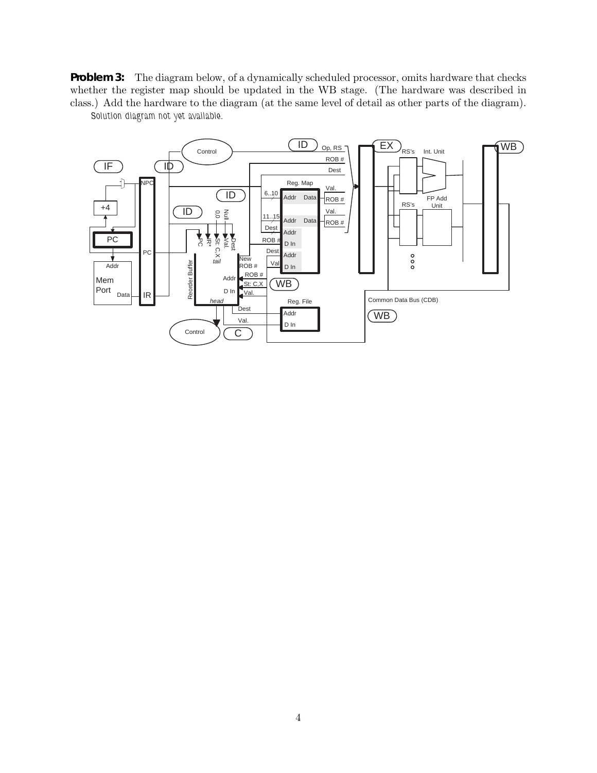**Problem 3:** The diagram below, of a dynamically scheduled processor, omits hardware that checks whether the register map should be updated in the WB stage. (The hardware was described in class.) Add the hardware to the diagram (at the same level of detail as other parts of the diagram).



*Solution diagram not yet available.*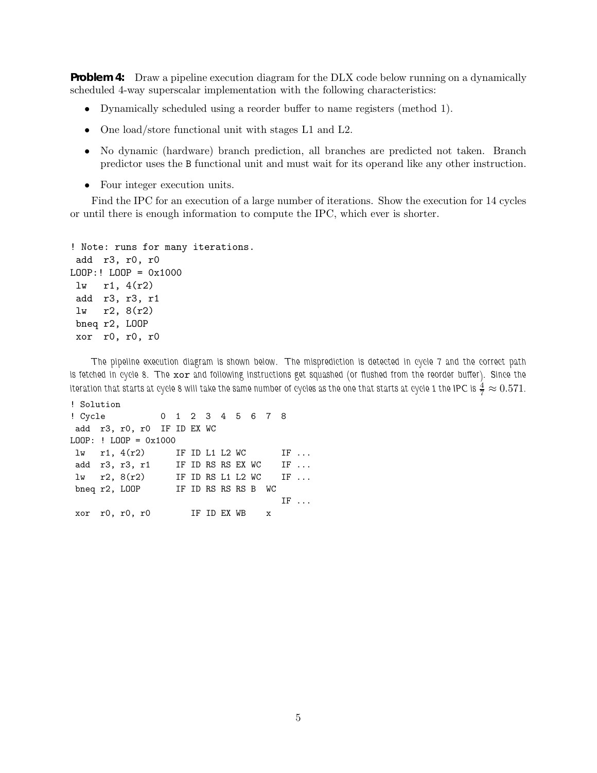**Problem 4:** Draw a pipeline execution diagram for the DLX code below running on a dynamically scheduled 4-way superscalar implementation with the following characteristics:

- Dynamically scheduled using a reorder buffer to name registers (method 1).
- One load/store functional unit with stages L1 and L2.
- No dynamic (hardware) branch prediction, all branches are predicted not taken. Branch predictor uses the B functional unit and must wait for its operand like any other instruction.
- Four integer execution units.

Find the IPC for an execution of a large number of iterations. Show the execution for 14 cycles or until there is enough information to compute the IPC, which ever is shorter.

```
! Note: runs for many iterations.
add r3, r0, r0
LOOP:! LOOP = 0x1000
 lw r1, 4(r2)
add r3, r3, r1
 lw r2, 8(r2)
 bneq r2, LOOP
xor r0, r0, r0
```
*The pipeline execution diagram is shown below. The misprediction is detected in cycle 7 and the correct path is fetched in cycle 8. The* xor *and following instructions get squashed (or flushed from the reorder buffer). Since the* iteration that starts at cycle 8 will take the same number of cycles as the one that starts at cycle 1 the IPC is  $\frac{4}{7}\approx 0.571.$ 

```
! Solution
! Cycle 012345678
add r3, r0, r0 IF ID EX WC
LOOP: ! LOOP = 0x1000lw r1, 4(r2) IF ID L1 L2 WC IF ...
add r3, r3, r1 IF ID RS RS EX WC IF ...
lw r2, 8(r2) IF ID RS L1 L2 WC IF ...
bneq r2, LOOP IF ID RS RS RS B WC
                                IF ...
xor r0, r0, r0 IF ID EX WB x
```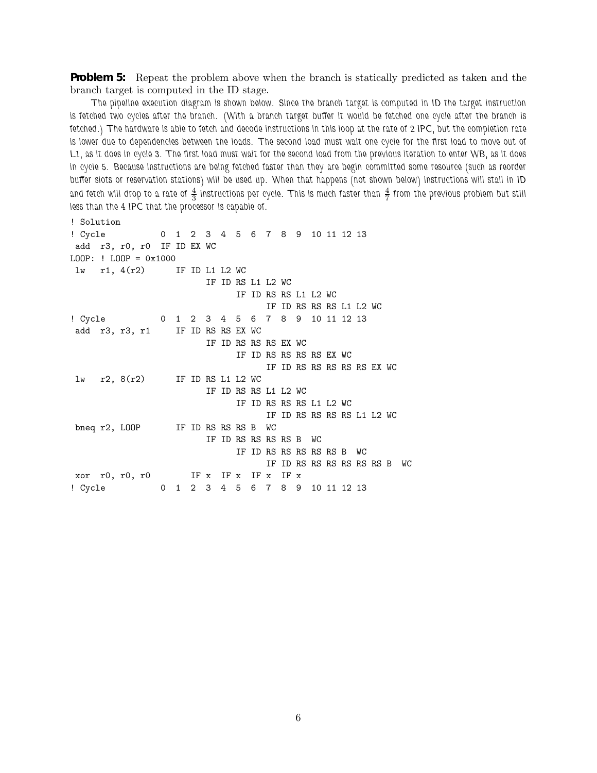**Problem 5:** Repeat the problem above when the branch is statically predicted as taken and the branch target is computed in the ID stage.

*The pipeline execution diagram is shown below. Since the branch target is computed in ID the target instruction is fetched two cycles after the branch. (With a branch target buffer it would be fetched one cycle after the branch is fetched.) The hardware is able to fetch and decode instructions in this loop at the rate of 2 IPC, but the completion rate is lower due to dependencies between the loads. The second load must wait one cycle for the first load to move out of L1, as it does in cycle 3. The first load must wait for the second load from the previous iteration to enter WB, as it does in cycle 5. Because instructions are being fetched faster than they are begin committed some resource (such as reorder buffer slots or reservation stations) will be used up. When that happens (not shown below) instructions will stall in ID* and fetch will drop to a rate of  $\frac{4}{3}$  instructions per cycle. This is much faster than  $\frac{4}{7}$  from the previous problem but still *less than the 4 IPC that the processor is capable of.*

! Solution ! Cycle 0 1 2 3 4 5 6 7 8 9 10 11 12 13 add r3, r0, r0 IF ID EX WC LOOP: ! LOOP = 0x1000 lw r1, 4(r2) IF ID L1 L2 WC IF ID RS L1 L2 WC IF ID RS RS L1 L2 WC IF ID RS RS RS L1 L2 WC ! Cycle 0 1 2 3 4 5 6 7 8 9 10 11 12 13 add r3, r3, r1 IF ID RS RS EX WC IF ID RS RS RS EX WC IF ID RS RS RS RS EX WC IF ID RS RS RS RS RS EX WC lw r2, 8(r2) IF ID RS L1 L2 WC IF ID RS RS L1 L2 WC IF ID RS RS RS L1 L2 WC IF ID RS RS RS RS L1 L2 WC bneq r2, LOOP IF ID RS RS RS B WC IF ID RS RS RS RS B WC IF ID RS RS RS RS RS B WC IF ID RS RS RS RS RS RS B WC xor r0, r0, r0 IF x IF x IF x IF x ! Cycle 0 1 2 3 4 5 6 7 8 9 10 11 12 13